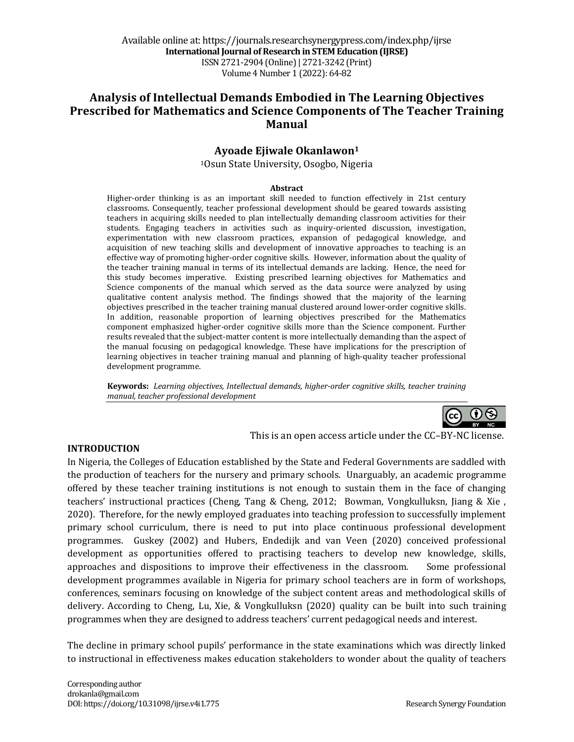# Analysis of Intellectual Demands Embodied in The Learning Objectives **Prescribed for Mathematics and Science Components of The Teacher Training Manual**

# **Ayoade Ejiwale Okanlawon1**

<sup>1</sup>Osun State University, Osogbo, Nigeria

#### **Abstract**

Higher-order thinking is as an important skill needed to function effectively in 21st century classrooms. Consequently, teacher professional development should be geared towards assisting teachers in acquiring skills needed to plan intellectually demanding classroom activities for their students. Engaging teachers in activities such as inquiry-oriented discussion, investigation, experimentation with new classroom practices, expansion of pedagogical knowledge, and acquisition of new teaching skills and development of innovative approaches to teaching is an effective way of promoting higher-order cognitive skills. However, information about the quality of the teacher training manual in terms of its intellectual demands are lacking. Hence, the need for this study becomes imperative. Existing prescribed learning objectives for Mathematics and Science components of the manual which served as the data source were analyzed by using qualitative content analysis method. The findings showed that the majority of the learning objectives prescribed in the teacher training manual clustered around lower-order cognitive skills. In addition, reasonable proportion of learning objectives prescribed for the Mathematics component emphasized higher-order cognitive skills more than the Science component. Further results revealed that the subject-matter content is more intellectually demanding than the aspect of the manual focusing on pedagogical knowledge. These have implications for the prescription of learning objectives in teacher training manual and planning of high-quality teacher professional development programme.

Keywords: Learning objectives, Intellectual demands, higher-order cognitive skills, teacher training *manual, teacher professional development*



#### **INTRODUCTION**

This is an open access article under the CC-BY-NC license.

In Nigeria, the Colleges of Education established by the State and Federal Governments are saddled with the production of teachers for the nursery and primary schools. Unarguably, an academic programme offered by these teacher training institutions is not enough to sustain them in the face of changing teachers' instructional practices (Cheng, Tang & Cheng, 2012; Bowman, Vongkulluksn, Jiang & Xie, 2020). Therefore, for the newly employed graduates into teaching profession to successfully implement primary school curriculum, there is need to put into place continuous professional development programmes. Guskey (2002) and Hubers, Endedijk and van Veen (2020) conceived professional development as opportunities offered to practising teachers to develop new knowledge, skills, approaches and dispositions to improve their effectiveness in the classroom. Some professional development programmes available in Nigeria for primary school teachers are in form of workshops, conferences, seminars focusing on knowledge of the subject content areas and methodological skills of delivery. According to Cheng, Lu, Xie, & Vongkulluksn (2020) quality can be built into such training programmes when they are designed to address teachers' current pedagogical needs and interest.

The decline in primary school pupils' performance in the state examinations which was directly linked to instructional in effectiveness makes education stakeholders to wonder about the quality of teachers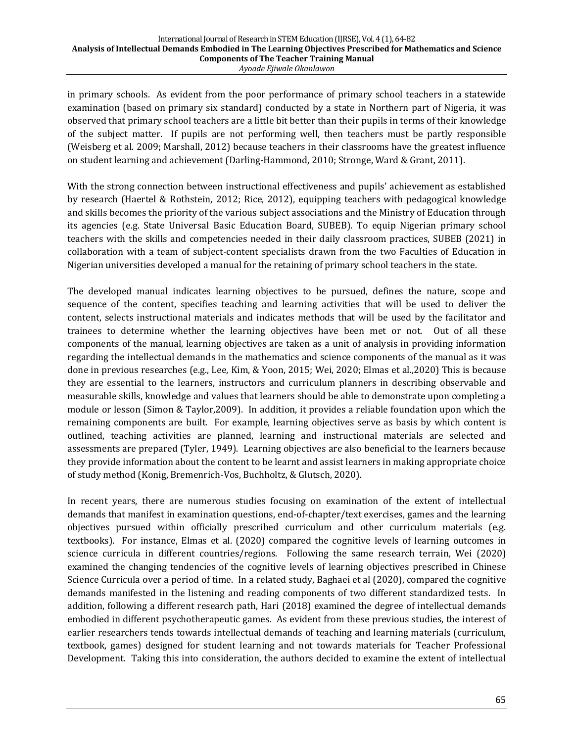in primary schools. As evident from the poor performance of primary school teachers in a statewide examination (based on primary six standard) conducted by a state in Northern part of Nigeria, it was observed that primary school teachers are a little bit better than their pupils in terms of their knowledge of the subject matter. If pupils are not performing well, then teachers must be partly responsible (Weisberg et al. 2009; Marshall, 2012) because teachers in their classrooms have the greatest influence on student learning and achievement (Darling-Hammond, 2010; Stronge, Ward & Grant, 2011).

With the strong connection between instructional effectiveness and pupils' achievement as established by research (Haertel & Rothstein, 2012; Rice, 2012), equipping teachers with pedagogical knowledge and skills becomes the priority of the various subject associations and the Ministry of Education through its agencies (e.g. State Universal Basic Education Board, SUBEB). To equip Nigerian primary school teachers with the skills and competencies needed in their daily classroom practices, SUBEB (2021) in collaboration with a team of subject-content specialists drawn from the two Faculties of Education in Nigerian universities developed a manual for the retaining of primary school teachers in the state.

The developed manual indicates learning objectives to be pursued, defines the nature, scope and sequence of the content, specifies teaching and learning activities that will be used to deliver the content, selects instructional materials and indicates methods that will be used by the facilitator and trainees to determine whether the learning objectives have been met or not. Out of all these components of the manual, learning objectives are taken as a unit of analysis in providing information regarding the intellectual demands in the mathematics and science components of the manual as it was done in previous researches (e.g., Lee, Kim, & Yoon, 2015; Wei, 2020; Elmas et al.,2020) This is because they are essential to the learners, instructors and curriculum planners in describing observable and measurable skills, knowledge and values that learners should be able to demonstrate upon completing a module or lesson (Simon & Taylor,2009). In addition, it provides a reliable foundation upon which the remaining components are built. For example, learning objectives serve as basis by which content is outlined, teaching activities are planned, learning and instructional materials are selected and assessments are prepared (Tyler, 1949). Learning objectives are also beneficial to the learners because they provide information about the content to be learnt and assist learners in making appropriate choice of study method (Konig, Bremenrich-Vos, Buchholtz, & Glutsch, 2020).

In recent years, there are numerous studies focusing on examination of the extent of intellectual demands that manifest in examination questions, end-of-chapter/text exercises, games and the learning objectives pursued within officially prescribed curriculum and other curriculum materials (e.g. textbooks). For instance, Elmas et al. (2020) compared the cognitive levels of learning outcomes in science curricula in different countries/regions. Following the same research terrain, Wei (2020) examined the changing tendencies of the cognitive levels of learning objectives prescribed in Chinese Science Curricula over a period of time. In a related study, Baghaei et al (2020), compared the cognitive demands manifested in the listening and reading components of two different standardized tests. In addition, following a different research path, Hari (2018) examined the degree of intellectual demands embodied in different psychotherapeutic games. As evident from these previous studies, the interest of earlier researchers tends towards intellectual demands of teaching and learning materials (curriculum, textbook, games) designed for student learning and not towards materials for Teacher Professional Development. Taking this into consideration, the authors decided to examine the extent of intellectual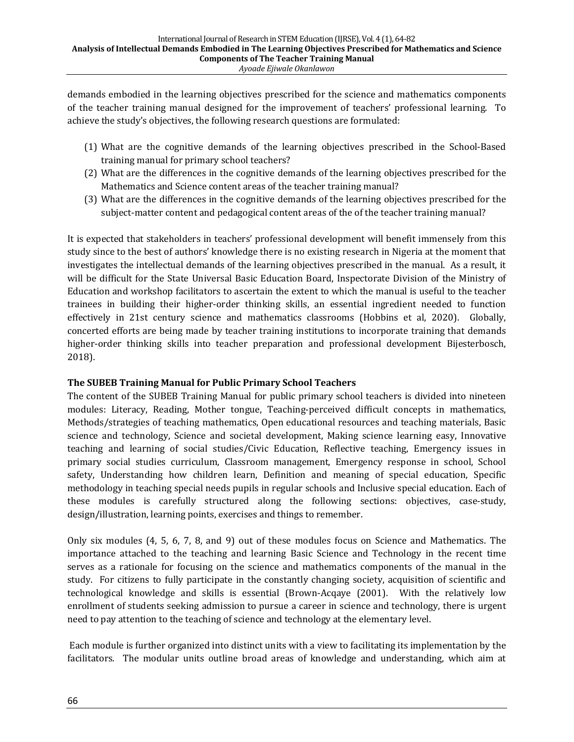demands embodied in the learning objectives prescribed for the science and mathematics components of the teacher training manual designed for the improvement of teachers' professional learning. To achieve the study's objectives, the following research questions are formulated:

- (1) What are the cognitive demands of the learning objectives prescribed in the School-Based training manual for primary school teachers?
- (2) What are the differences in the cognitive demands of the learning objectives prescribed for the Mathematics and Science content areas of the teacher training manual?
- (3) What are the differences in the cognitive demands of the learning objectives prescribed for the subject-matter content and pedagogical content areas of the of the teacher training manual?

It is expected that stakeholders in teachers' professional development will benefit immensely from this study since to the best of authors' knowledge there is no existing research in Nigeria at the moment that investigates the intellectual demands of the learning objectives prescribed in the manual. As a result, it will be difficult for the State Universal Basic Education Board, Inspectorate Division of the Ministry of Education and workshop facilitators to ascertain the extent to which the manual is useful to the teacher trainees in building their higher-order thinking skills, an essential ingredient needed to function effectively in 21st century science and mathematics classrooms (Hobbins et al, 2020). Globally, concerted efforts are being made by teacher training institutions to incorporate training that demands higher-order thinking skills into teacher preparation and professional development Bijesterbosch, 2018).

### **The SUBEB Training Manual for Public Primary School Teachers**

The content of the SUBEB Training Manual for public primary school teachers is divided into nineteen modules: Literacy, Reading, Mother tongue, Teaching-perceived difficult concepts in mathematics, Methods/strategies of teaching mathematics, Open educational resources and teaching materials, Basic science and technology, Science and societal development, Making science learning easy, Innovative teaching and learning of social studies/Civic Education, Reflective teaching, Emergency issues in primary social studies curriculum, Classroom management, Emergency response in school, School safety, Understanding how children learn, Definition and meaning of special education, Specific methodology in teaching special needs pupils in regular schools and Inclusive special education. Each of these modules is carefully structured along the following sections: objectives, case-study, design/illustration, learning points, exercises and things to remember.

Only six modules (4, 5, 6, 7, 8, and 9) out of these modules focus on Science and Mathematics. The importance attached to the teaching and learning Basic Science and Technology in the recent time serves as a rationale for focusing on the science and mathematics components of the manual in the study. For citizens to fully participate in the constantly changing society, acquisition of scientific and technological knowledge and skills is essential (Brown-Acqaye (2001). With the relatively low enrollment of students seeking admission to pursue a career in science and technology, there is urgent need to pay attention to the teaching of science and technology at the elementary level.

Each module is further organized into distinct units with a view to facilitating its implementation by the facilitators. The modular units outline broad areas of knowledge and understanding, which aim at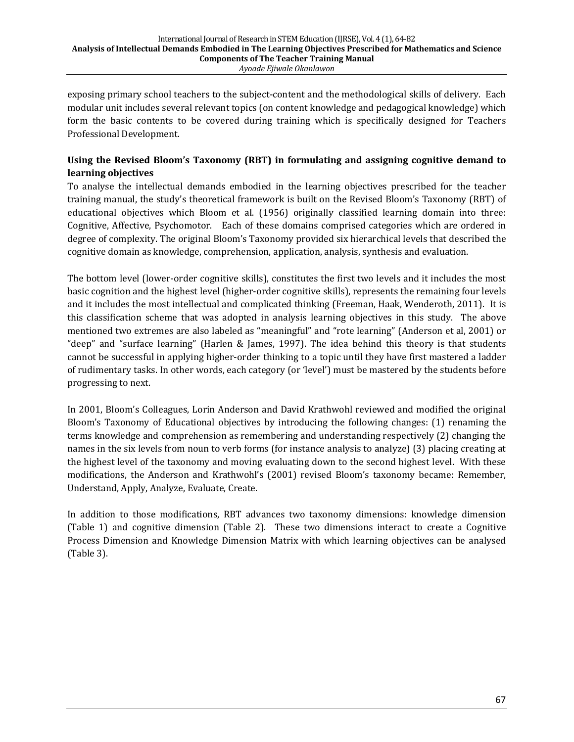exposing primary school teachers to the subject-content and the methodological skills of delivery. Each modular unit includes several relevant topics (on content knowledge and pedagogical knowledge) which form the basic contents to be covered during training which is specifically designed for Teachers Professional Development.

# Using the Revised Bloom's Taxonomy (RBT) in formulating and assigning cognitive demand to **learning objectives**

To analyse the intellectual demands embodied in the learning objectives prescribed for the teacher training manual, the study's theoretical framework is built on the Revised Bloom's Taxonomy (RBT) of educational objectives which Bloom et al. (1956) originally classified learning domain into three: Cognitive, Affective, Psychomotor. Each of these domains comprised categories which are ordered in degree of complexity. The original Bloom's Taxonomy provided six hierarchical levels that described the cognitive domain as knowledge, comprehension, application, analysis, synthesis and evaluation.

The bottom level (lower-order cognitive skills), constitutes the first two levels and it includes the most basic cognition and the highest level (higher-order cognitive skills), represents the remaining four levels and it includes the most intellectual and complicated thinking (Freeman, Haak, Wenderoth, 2011). It is this classification scheme that was adopted in analysis learning objectives in this study. The above mentioned two extremes are also labeled as "meaningful" and "rote learning" (Anderson et al, 2001) or "deep" and "surface learning" (Harlen & James, 1997). The idea behind this theory is that students cannot be successful in applying higher-order thinking to a topic until they have first mastered a ladder of rudimentary tasks. In other words, each category (or 'level') must be mastered by the students before progressing to next.

In 2001, Bloom's Colleagues, Lorin Anderson and David Krathwohl reviewed and modified the original Bloom's Taxonomy of Educational objectives by introducing the following changes: (1) renaming the terms knowledge and comprehension as remembering and understanding respectively (2) changing the names in the six levels from noun to verb forms (for instance analysis to analyze) (3) placing creating at the highest level of the taxonomy and moving evaluating down to the second highest level. With these modifications, the Anderson and Krathwohl's (2001) revised Bloom's taxonomy became: Remember, Understand, Apply, Analyze, Evaluate, Create.

In addition to those modifications, RBT advances two taxonomy dimensions: knowledge dimension (Table 1) and cognitive dimension (Table 2). These two dimensions interact to create a Cognitive Process Dimension and Knowledge Dimension Matrix with which learning objectives can be analysed (Table 3).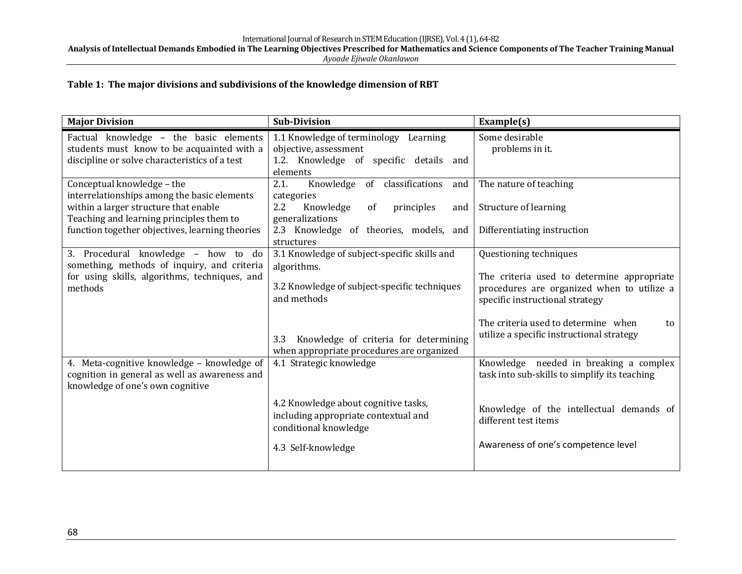Analysis of Intellectual Demands Embodied in The Learning Objectives Prescribed for Mathematics and Science Components of The Teacher Training Manual *Ayoade Ejiwale Okanlawon*

# Table 1: The major divisions and subdivisions of the knowledge dimension of RBT

| <b>Major Division</b>                                                                                                                                          | <b>Sub-Division</b>                                                                                                                                                                                                     | Example(s)                                                                                                                                                                                                                                      |
|----------------------------------------------------------------------------------------------------------------------------------------------------------------|-------------------------------------------------------------------------------------------------------------------------------------------------------------------------------------------------------------------------|-------------------------------------------------------------------------------------------------------------------------------------------------------------------------------------------------------------------------------------------------|
| Factual knowledge - the basic elements<br>students must know to be acquainted with a<br>discipline or solve characteristics of a test                          | 1.1 Knowledge of terminology Learning<br>objective, assessment<br>1.2. Knowledge of specific details and<br>elements                                                                                                    | Some desirable<br>problems in it.                                                                                                                                                                                                               |
| Conceptual knowledge - the<br>interrelationships among the basic elements<br>within a larger structure that enable<br>Teaching and learning principles them to | Knowledge<br>of classifications<br>2.1.<br>and<br>categories<br>2.2<br>Knowledge<br>of<br>principles<br>and<br>generalizations                                                                                          | The nature of teaching<br>Structure of learning                                                                                                                                                                                                 |
| function together objectives, learning theories                                                                                                                | 2.3 Knowledge of theories, models, and<br>structures                                                                                                                                                                    | Differentiating instruction                                                                                                                                                                                                                     |
| 3. Procedural knowledge - how to do<br>something, methods of inquiry, and criteria<br>for using skills, algorithms, techniques, and<br>methods                 | 3.1 Knowledge of subject-specific skills and<br>algorithms.<br>3.2 Knowledge of subject-specific techniques<br>and methods<br>Knowledge of criteria for determining<br>3.3<br>when appropriate procedures are organized | Questioning techniques<br>The criteria used to determine appropriate<br>procedures are organized when to utilize a<br>specific instructional strategy<br>The criteria used to determine when<br>to<br>utilize a specific instructional strategy |
| 4. Meta-cognitive knowledge - knowledge of<br>cognition in general as well as awareness and<br>knowledge of one's own cognitive                                | 4.1 Strategic knowledge<br>4.2 Knowledge about cognitive tasks,                                                                                                                                                         | Knowledge needed in breaking a complex<br>task into sub-skills to simplify its teaching                                                                                                                                                         |
|                                                                                                                                                                | including appropriate contextual and<br>conditional knowledge<br>4.3 Self-knowledge                                                                                                                                     | Knowledge of the intellectual demands of<br>different test items<br>Awareness of one's competence level                                                                                                                                         |
|                                                                                                                                                                |                                                                                                                                                                                                                         |                                                                                                                                                                                                                                                 |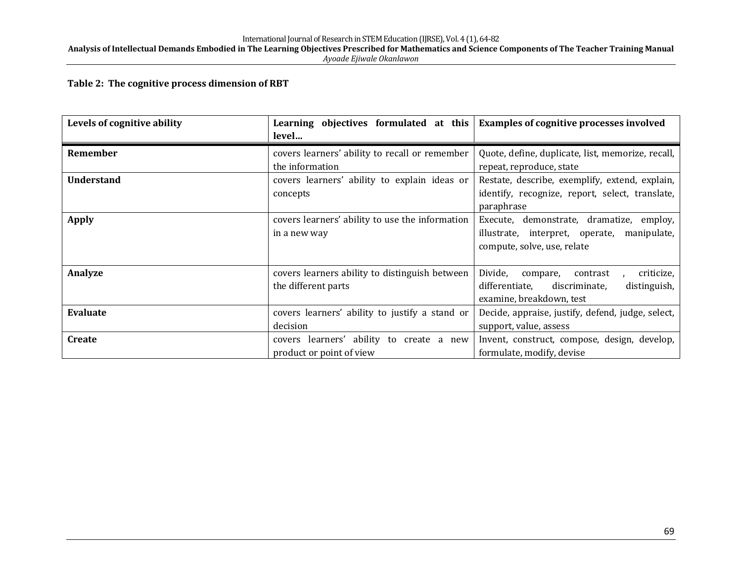Analysis of Intellectual Demands Embodied in The Learning Objectives Prescribed for Mathematics and Science Components of The Teacher Training Manual *Ayoade Ejiwale Okanlawon*

#### Table 2: The cognitive process dimension of RBT

| Levels of cognitive ability | Learning objectives formulated at this<br>level | <b>Examples of cognitive processes involved</b>   |
|-----------------------------|-------------------------------------------------|---------------------------------------------------|
| Remember                    | covers learners' ability to recall or remember  | Quote, define, duplicate, list, memorize, recall, |
|                             | the information                                 | repeat, reproduce, state                          |
| <b>Understand</b>           | covers learners' ability to explain ideas or    | Restate, describe, exemplify, extend, explain,    |
|                             | concepts                                        | identify, recognize, report, select, translate,   |
|                             |                                                 | paraphrase                                        |
| <b>Apply</b>                | covers learners' ability to use the information | Execute, demonstrate, dramatize, employ,          |
|                             | in a new way                                    | illustrate, interpret, operate, manipulate,       |
|                             |                                                 | compute, solve, use, relate                       |
|                             |                                                 |                                                   |
| Analyze                     | covers learners ability to distinguish between  | Divide,<br>criticize,<br>compare,<br>contrast     |
|                             | the different parts                             | differentiate,<br>discriminate,<br>distinguish,   |
|                             |                                                 | examine, breakdown, test                          |
| <b>Evaluate</b>             | covers learners' ability to justify a stand or  | Decide, appraise, justify, defend, judge, select, |
|                             | decision                                        | support, value, assess                            |
| <b>Create</b>               | covers learners' ability to create a new        | Invent, construct, compose, design, develop,      |
|                             | product or point of view                        | formulate, modify, devise                         |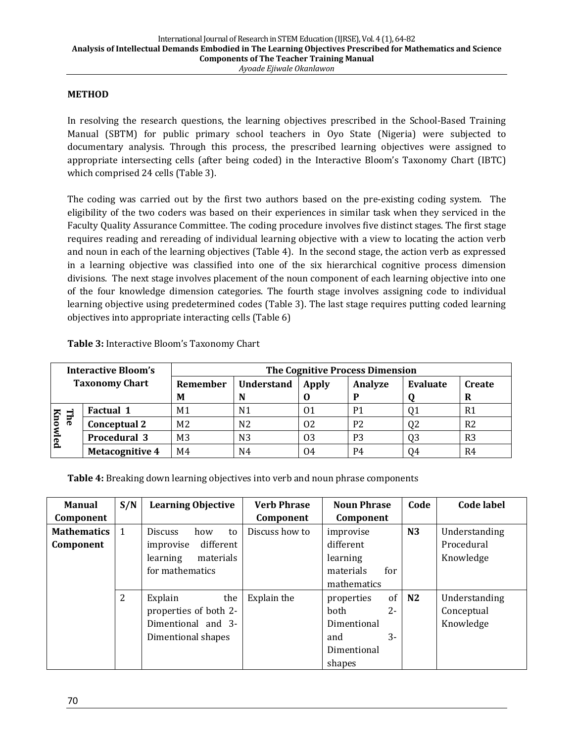#### **METHOD**

In resolving the research questions, the learning objectives prescribed in the School-Based Training Manual (SBTM) for public primary school teachers in Oyo State (Nigeria) were subjected to documentary analysis. Through this process, the prescribed learning objectives were assigned to appropriate intersecting cells (after being coded) in the Interactive Bloom's Taxonomy Chart (IBTC) which comprised 24 cells (Table 3).

The coding was carried out by the first two authors based on the pre-existing coding system. The eligibility of the two coders was based on their experiences in similar task when they serviced in the Faculty Quality Assurance Committee. The coding procedure involves five distinct stages. The first stage requires reading and rereading of individual learning objective with a view to locating the action verb and noun in each of the learning objectives (Table 4). In the second stage, the action verb as expressed in a learning objective was classified into one of the six hierarchical cognitive process dimension divisions. The next stage involves placement of the noun component of each learning objective into one of the four knowledge dimension categories. The fourth stage involves assigning code to individual learning objective using predetermined codes (Table 3). The last stage requires putting coded learning objectives into appropriate interacting cells (Table 6)

| Interactive Bloom's<br><b>Taxonomy Chart</b> |                        | <b>The Cognitive Process Dimension</b> |                   |       |                |                |                    |  |  |  |  |
|----------------------------------------------|------------------------|----------------------------------------|-------------------|-------|----------------|----------------|--------------------|--|--|--|--|
|                                              |                        | Remember<br>M                          | <b>Understand</b> | Apply | Analyze        | Evaluate       | <b>Create</b><br>R |  |  |  |  |
|                                              | <b>Factual 1</b>       | M1                                     | N1                | 01    | P <sub>1</sub> |                | R1                 |  |  |  |  |
| The<br>Knowled                               | <b>Conceptual 2</b>    | M <sub>2</sub>                         | N <sub>2</sub>    | 02    | P <sub>2</sub> | 02             | R <sub>2</sub>     |  |  |  |  |
|                                              | <b>Procedural 3</b>    | M <sub>3</sub>                         | N3                | 03    | P <sub>3</sub> | Q <sub>3</sub> | R <sub>3</sub>     |  |  |  |  |
|                                              | <b>Metacognitive 4</b> | M4                                     | N4                | 04    | P4             | 04             | R4                 |  |  |  |  |

**Table 3:** Interactive Bloom's Taxonomy Chart

**Table 4:** Breaking down learning objectives into verb and noun phrase components

| <b>Manual</b>      | S/N            | <b>Learning Objective</b>   | <b>Verb Phrase</b> | <b>Noun Phrase</b>            | Code           | <b>Code label</b> |
|--------------------|----------------|-----------------------------|--------------------|-------------------------------|----------------|-------------------|
| Component          |                |                             | Component          | Component                     |                |                   |
| <b>Mathematics</b> | 1              | <b>Discuss</b><br>how<br>to | Discuss how to     | improvise                     | N3             | Understanding     |
| Component          |                | different<br>improvise      |                    | different                     |                | Procedural        |
|                    |                | materials<br>learning       |                    | learning                      |                | Knowledge         |
|                    |                | for mathematics             |                    | materials<br>for              |                |                   |
|                    |                |                             |                    | mathematics                   |                |                   |
|                    | $\overline{2}$ | Explain<br>the              | Explain the        | of <sub>1</sub><br>properties | N <sub>2</sub> | Understanding     |
|                    |                | properties of both 2-       |                    | $2 -$<br><b>both</b>          |                | Conceptual        |
|                    |                | Dimentional and 3-          |                    | Dimentional                   |                | Knowledge         |
|                    |                | Dimentional shapes          |                    | 3-<br>and                     |                |                   |
|                    |                |                             |                    | Dimentional                   |                |                   |
|                    |                |                             |                    | shapes                        |                |                   |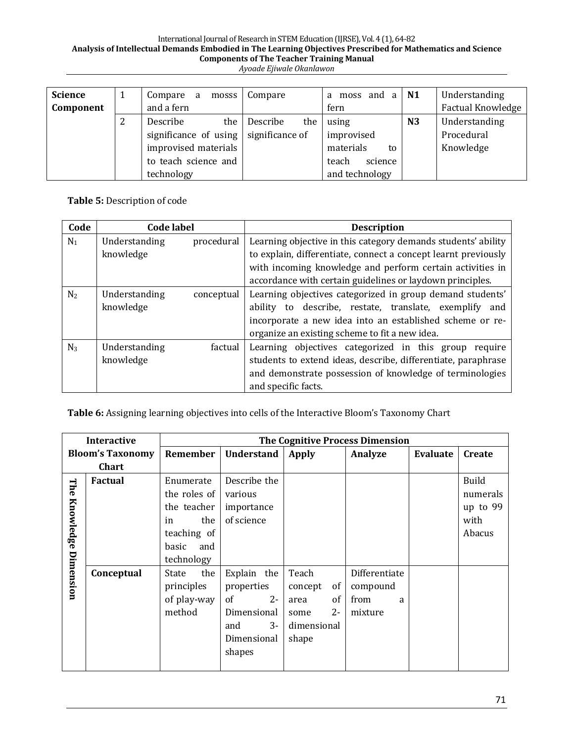### International Journal of Research in STEM Education (IJRSE), Vol. 4 (1), 64-82 Analysis of Intellectual Demands Embodied in The Learning Objectives Prescribed for Mathematics and Science Components of The Teacher Training Manual

|  | Ayoade Ejiwale Okanlawon |
|--|--------------------------|
|  |                          |

| <b>Science</b><br>Component | Compare a<br>mosss<br>and a fern                          | Compare             | a moss and $a \mid N1$<br>fern      |                | Understanding<br>Factual Knowledge |
|-----------------------------|-----------------------------------------------------------|---------------------|-------------------------------------|----------------|------------------------------------|
|                             | Describe<br>significance of using $\vert$ significance of | the Describe<br>the | using<br>improvised                 | N <sub>3</sub> | Understanding<br>Procedural        |
|                             | improvised materials<br>to teach science and              |                     | materials<br>to<br>science<br>teach |                | Knowledge                          |
|                             | technology                                                |                     | and technology                      |                |                                    |

**Table 5: Description of code** 

| Code           | <b>Code label</b> |            | <b>Description</b>                                             |
|----------------|-------------------|------------|----------------------------------------------------------------|
| $N_1$          | Understanding     | procedural | Learning objective in this category demands students' ability  |
|                | knowledge         |            | to explain, differentiate, connect a concept learnt previously |
|                |                   |            | with incoming knowledge and perform certain activities in      |
|                |                   |            | accordance with certain guidelines or laydown principles.      |
| N <sub>2</sub> | Understanding     | conceptual | Learning objectives categorized in group demand students'      |
|                | knowledge         |            | to describe, restate, translate, exemplify and<br>ability      |
|                |                   |            | incorporate a new idea into an established scheme or re-       |
|                |                   |            | organize an existing scheme to fit a new idea.                 |
| $N_3$          | Understanding     | factual    | Learning objectives categorized in this group require          |
|                | knowledge         |            | students to extend ideas, describe, differentiate, paraphrase  |
|                |                   |            | and demonstrate possession of knowledge of terminologies       |
|                |                   |            | and specific facts.                                            |

Table 6: Assigning learning objectives into cells of the Interactive Bloom's Taxonomy Chart

|           | <b>Interactive</b>      |              |                   |               | The Cognitive Process Dimension |          |              |
|-----------|-------------------------|--------------|-------------------|---------------|---------------------------------|----------|--------------|
|           | <b>Bloom's Taxonomy</b> | Remember     | <b>Understand</b> | <b>Apply</b>  | Analyze                         | Evaluate | Create       |
|           | <b>Chart</b>            |              |                   |               |                                 |          |              |
| The       | <b>Factual</b>          | Enumerate    | Describe the      |               |                                 |          | <b>Build</b> |
|           |                         | the roles of | various           |               |                                 |          | numerals     |
|           |                         | the teacher  | importance        |               |                                 |          | up to 99     |
| Knowledge |                         | the<br>in    | of science        |               |                                 |          | with         |
|           |                         | teaching of  |                   |               |                                 |          | Abacus       |
|           |                         | basic<br>and |                   |               |                                 |          |              |
|           |                         | technology   |                   |               |                                 |          |              |
| Dimension | Conceptual              | the<br>State | Explain the       | Teach         | Differentiate                   |          |              |
|           |                         | principles   | properties        | of<br>concept | compound                        |          |              |
|           |                         | of play-way  | $2 -$<br>of       | of<br>area    | from<br>a                       |          |              |
|           |                         | method       | Dimensional       | $2 -$<br>some | mixture                         |          |              |
|           |                         |              | $3-$<br>and       | dimensional   |                                 |          |              |
|           |                         |              | Dimensional       | shape         |                                 |          |              |
|           |                         |              | shapes            |               |                                 |          |              |
|           |                         |              |                   |               |                                 |          |              |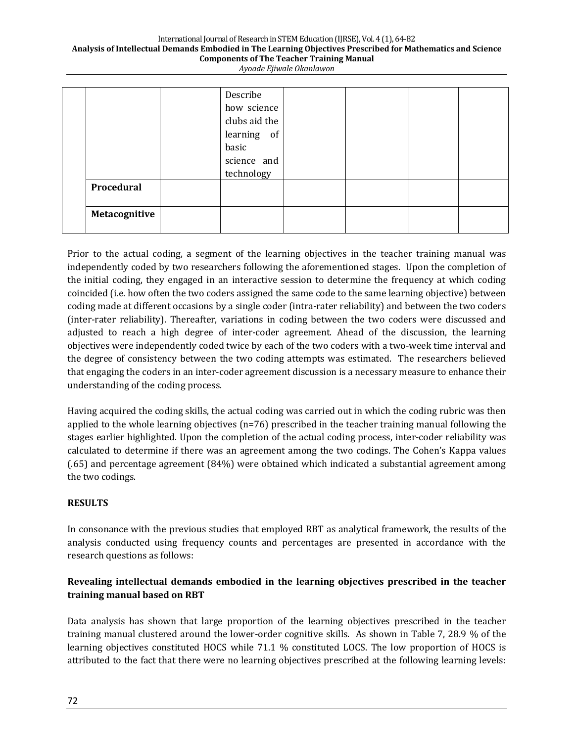#### International Journal of Research in STEM Education (IJRSE), Vol. 4 (1), 64-82 Analysis of Intellectual Demands Embodied in The Learning Objectives Prescribed for Mathematics and Science **Components of The Teacher Training Manual** *Ayoade Ejiwale Okanlawon*

|               | Describe      |  |  |
|---------------|---------------|--|--|
|               | how science   |  |  |
|               | clubs aid the |  |  |
|               | learning of   |  |  |
|               | basic         |  |  |
|               | science and   |  |  |
|               | technology    |  |  |
| Procedural    |               |  |  |
|               |               |  |  |
| Metacognitive |               |  |  |
|               |               |  |  |

Prior to the actual coding, a segment of the learning objectives in the teacher training manual was independently coded by two researchers following the aforementioned stages. Upon the completion of the initial coding, they engaged in an interactive session to determine the frequency at which coding coincided (i.e. how often the two coders assigned the same code to the same learning objective) between coding made at different occasions by a single coder (intra-rater reliability) and between the two coders (inter-rater reliability). Thereafter, variations in coding between the two coders were discussed and adjusted to reach a high degree of inter-coder agreement. Ahead of the discussion, the learning objectives were independently coded twice by each of the two coders with a two-week time interval and the degree of consistency between the two coding attempts was estimated. The researchers believed that engaging the coders in an inter-coder agreement discussion is a necessary measure to enhance their understanding of the coding process.

Having acquired the coding skills, the actual coding was carried out in which the coding rubric was then applied to the whole learning objectives  $(n=76)$  prescribed in the teacher training manual following the stages earlier highlighted. Upon the completion of the actual coding process, inter-coder reliability was calculated to determine if there was an agreement among the two codings. The Cohen's Kappa values (.65) and percentage agreement (84%) were obtained which indicated a substantial agreement among the two codings.

### **RESULTS**

In consonance with the previous studies that employed RBT as analytical framework, the results of the analysis conducted using frequency counts and percentages are presented in accordance with the research questions as follows:

### Revealing intellectual demands embodied in the learning objectives prescribed in the teacher **training manual based on RBT**

Data analysis has shown that large proportion of the learning objectives prescribed in the teacher training manual clustered around the lower-order cognitive skills. As shown in Table 7, 28.9 % of the learning objectives constituted HOCS while 71.1 % constituted LOCS. The low proportion of HOCS is attributed to the fact that there were no learning objectives prescribed at the following learning levels: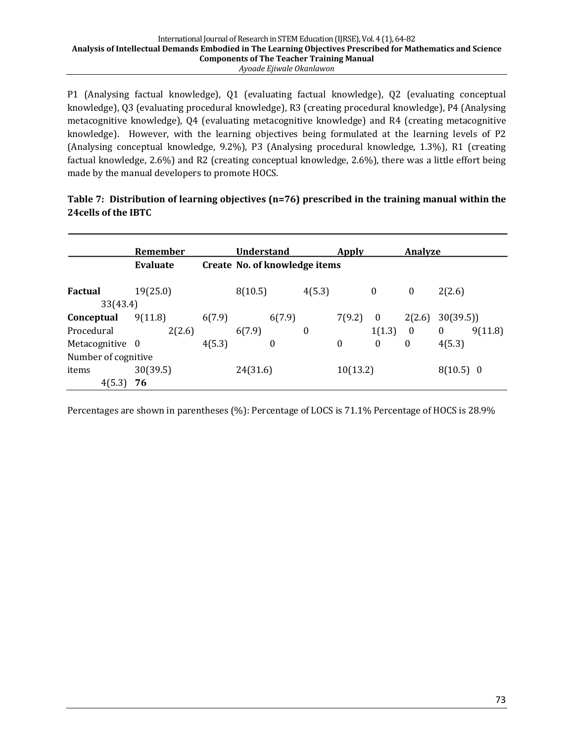P1 (Analysing factual knowledge), Q1 (evaluating factual knowledge), Q2 (evaluating conceptual knowledge), Q3 (evaluating procedural knowledge), R3 (creating procedural knowledge), P4 (Analysing metacognitive knowledge), Q4 (evaluating metacognitive knowledge) and R4 (creating metacognitive knowledge). However, with the learning objectives being formulated at the learning levels of P2 (Analysing conceptual knowledge, 9.2%), P3 (Analysing procedural knowledge, 1.3%), R1 (creating factual knowledge, 2.6%) and R2 (creating conceptual knowledge, 2.6%), there was a little effort being made by the manual developers to promote HOCS.

### Table 7: Distribution of learning objectives (n=76) prescribed in the training manual within the **24cells of the IBTC**

|                     | Remember |        | <b>Understand</b>             |                  | Apply    |                  |          | Analyze      |          |         |
|---------------------|----------|--------|-------------------------------|------------------|----------|------------------|----------|--------------|----------|---------|
|                     | Evaluate |        | Create No. of knowledge items |                  |          |                  |          |              |          |         |
| Factual             | 19(25.0) |        | 8(10.5)                       |                  | 4(5.3)   |                  | 0        | $\bf{0}$     | 2(2.6)   |         |
| 33(43.4)            |          |        |                               |                  |          |                  |          |              |          |         |
| Conceptual          | 9(11.8)  | 6(7.9) |                               | 6(7.9)           |          | 7(9.2)           | $\theta$ | 2(2.6)       | 30(39.5) |         |
| Procedural          | 2(2.6)   |        | 6(7.9)                        |                  | 0        |                  | 1(1.3)   | $\mathbf{0}$ | $\bf{0}$ | 9(11.8) |
| Metacognitive 0     |          | 4(5.3) |                               | $\boldsymbol{0}$ |          | $\boldsymbol{0}$ | $\bf{0}$ | $\bf{0}$     | 4(5.3)   |         |
| Number of cognitive |          |        |                               |                  |          |                  |          |              |          |         |
| items               | 30(39.5) |        | 24(31.6)                      |                  | 10(13.2) |                  |          | $8(10.5)$ 0  |          |         |
| 4(5.3)              | 76       |        |                               |                  |          |                  |          |              |          |         |

Percentages are shown in parentheses (%): Percentage of LOCS is 71.1% Percentage of HOCS is 28.9%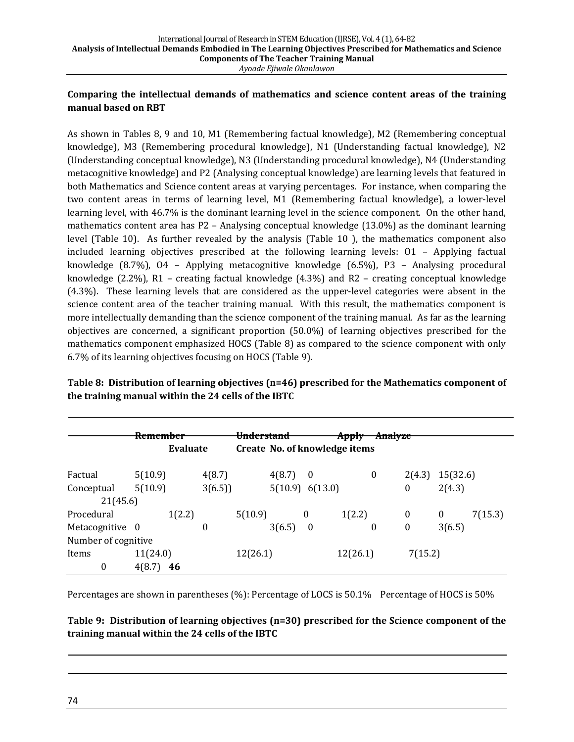### Comparing the intellectual demands of mathematics and science content areas of the training **manual based on RBT**

As shown in Tables 8, 9 and 10, M1 (Remembering factual knowledge), M2 (Remembering conceptual knowledge), M3 (Remembering procedural knowledge), N1 (Understanding factual knowledge), N2 (Understanding conceptual knowledge), N3 (Understanding procedural knowledge), N4 (Understanding metacognitive knowledge) and P2 (Analysing conceptual knowledge) are learning levels that featured in both Mathematics and Science content areas at varying percentages. For instance, when comparing the two content areas in terms of learning level, M1 (Remembering factual knowledge), a lower-level learning level, with 46.7% is the dominant learning level in the science component. On the other hand, mathematics content area has  $P2$  – Analysing conceptual knowledge (13.0%) as the dominant learning level (Table 10). As further revealed by the analysis (Table 10), the mathematics component also included learning objectives prescribed at the following learning levels:  $O1 -$  Applying factual knowledge  $(8.7\%)$ , O4 – Applying metacognitive knowledge  $(6.5\%)$ , P3 – Analysing procedural knowledge (2.2%), R1 - creating factual knowledge (4.3%) and R2 - creating conceptual knowledge (4.3%). These learning levels that are considered as the upper-level categories were absent in the science content area of the teacher training manual. With this result, the mathematics component is more intellectually demanding than the science component of the training manual. As far as the learning objectives are concerned, a significant proportion  $(50.0\%)$  of learning objectives prescribed for the mathematics component emphasized HOCS (Table 8) as compared to the science component with only 6.7% of its learning objectives focusing on HOCS (Table 9).

# **Table 8: Distribution of learning objectives (n=46) prescribed for the Mathematics component of** the training manual within the 24 cells of the IBTC

|                     | <del>Remember</del> |                 |        | <del>Understand</del> |                 |   | Apply                         |          | Analyze      |          |         |
|---------------------|---------------------|-----------------|--------|-----------------------|-----------------|---|-------------------------------|----------|--------------|----------|---------|
|                     |                     | <b>Evaluate</b> |        |                       |                 |   | Create No. of knowledge items |          |              |          |         |
| Factual             | 5(10.9)             |                 | 4(8.7) |                       | 4(8.7)          | 0 |                               | $\bf{0}$ | 2(4.3)       | 15(32.6) |         |
| Conceptual          | 5(10.9)             |                 | 3(6.5) |                       | 5(10.9) 6(13.0) |   |                               |          | $\mathbf{0}$ | 2(4.3)   |         |
| 21(45.6)            |                     |                 |        |                       |                 |   |                               |          |              |          |         |
| Procedural          |                     | 1(2.2)          |        | 5(10.9)               |                 | 0 | 1(2.2)                        |          | $\mathbf{0}$ | $\bf{0}$ | 7(15.3) |
| Metacognitive 0     |                     |                 | 0      |                       | 3(6.5)          | 0 |                               | 0        | $\mathbf{0}$ | 3(6.5)   |         |
| Number of cognitive |                     |                 |        |                       |                 |   |                               |          |              |          |         |
| Items               | 11(24.0)            |                 |        | 12(26.1)              |                 |   | 12(26.1)                      |          | 7(15.2)      |          |         |
| $\boldsymbol{0}$    | 4(8.7)              | 46              |        |                       |                 |   |                               |          |              |          |         |

Percentages are shown in parentheses (%): Percentage of LOCS is 50.1% Percentage of HOCS is 50%

Table 9: Distribution of learning objectives (n=30) prescribed for the Science component of the training manual within the 24 cells of the IBTC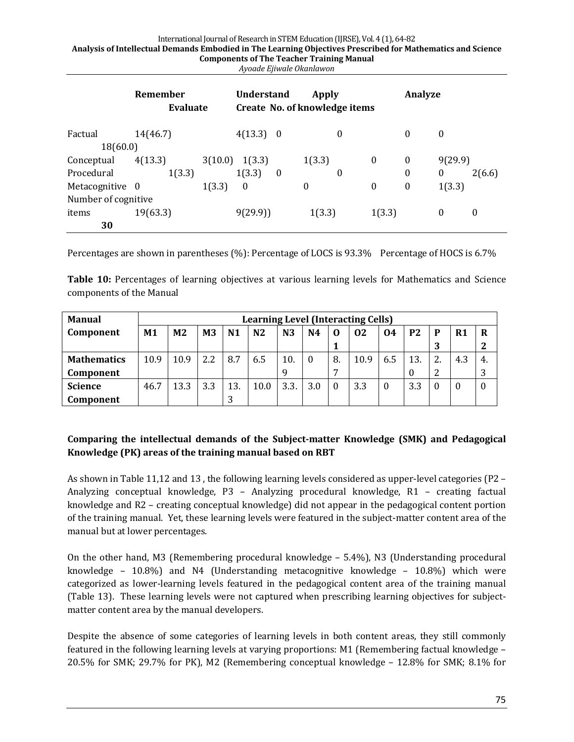#### International Journal of Research in STEM Education (IJRSE), Vol. 4 (1), 64-82 Analysis of Intellectual Demands Embodied in The Learning Objectives Prescribed for Mathematics and Science **Components of The Teacher Training Manual**

|  | Ayoade Ejiwale Okanlawon |  |
|--|--------------------------|--|

|                     | Remember<br><b>Evaluate</b> |         | <b>Understand</b><br>Create No. of knowledge items |                  | Apply    |   |                  | Analyze          |              |                  |
|---------------------|-----------------------------|---------|----------------------------------------------------|------------------|----------|---|------------------|------------------|--------------|------------------|
| Factual             | 14(46.7)                    |         | 4(13.3) 0                                          |                  |          | 0 |                  | 0                | $\bf{0}$     |                  |
| 18(60.0)            |                             |         |                                                    |                  |          |   |                  |                  |              |                  |
| Conceptual          | 4(13.3)                     | 3(10.0) | 1(3.3)                                             |                  | 1(3.3)   |   | $\boldsymbol{0}$ | $\boldsymbol{0}$ | 9(29.9)      |                  |
| Procedural          | 1(3.3)                      |         | 1(3.3)                                             | $\boldsymbol{0}$ |          | 0 |                  | 0                | $\bf{0}$     | 2(6.6)           |
| Metacognitive 0     |                             | 1(3.3)  | $\bf{0}$                                           |                  | $\theta$ |   | $\boldsymbol{0}$ | 0                | 1(3.3)       |                  |
| Number of cognitive |                             |         |                                                    |                  |          |   |                  |                  |              |                  |
| items               | 19(63.3)                    |         | 9(29.9)                                            |                  | 1(3.3)   |   | 1(3.3)           |                  | $\mathbf{0}$ | $\boldsymbol{0}$ |
| 30                  |                             |         |                                                    |                  |          |   |                  |                  |              |                  |

Percentages are shown in parentheses  $(\%)$ : Percentage of LOCS is 93.3% Percentage of HOCS is 6.7%

**Table 10:** Percentages of learning objectives at various learning levels for Mathematics and Science components of the Manual

| <b>Manual</b>      |      | <b>Learning Level (Interacting Cells)</b> |                |                |                |                |          |    |      |          |                |          |                |          |
|--------------------|------|-------------------------------------------|----------------|----------------|----------------|----------------|----------|----|------|----------|----------------|----------|----------------|----------|
| Component          | M1   | M <sub>2</sub>                            | M <sub>3</sub> | N <sub>1</sub> | N <sub>2</sub> | N <sub>3</sub> | N4       | O  | 02   | 04       | P <sub>2</sub> | P        | R <sub>1</sub> | R        |
|                    |      |                                           |                |                |                |                |          |    |      |          |                | 3        |                |          |
| <b>Mathematics</b> | 10.9 | 10.9                                      | 2.2            | 8.7            | 6.5            | 10.            | $\theta$ | 8. | 10.9 | 6.5      | 13             | 2.       | 4.3            | -4.      |
| Component          |      |                                           |                |                |                | 9              |          |    |      |          | 0              | 2        |                | 3        |
| <b>Science</b>     | 46.7 | 13.3                                      | 3.3            | 13.            | 10.0           | 3.3.           | 3.0      |    | 3.3  | $\theta$ | 3.3            | $\Omega$ | $\theta$       | $\theta$ |
| Component          |      |                                           |                |                |                |                |          |    |      |          |                |          |                |          |

# **Comparing the intellectual demands of the Subject-matter Knowledge (SMK) and Pedagogical Knowledge (PK) areas of the training manual based on RBT**

As shown in Table 11,12 and 13, the following learning levels considered as upper-level categories (P2 -Analyzing conceptual knowledge, P3 - Analyzing procedural knowledge, R1 - creating factual knowledge and R2 - creating conceptual knowledge) did not appear in the pedagogical content portion of the training manual. Yet, these learning levels were featured in the subject-matter content area of the manual but at lower percentages.

On the other hand, M3 (Remembering procedural knowledge  $-$  5.4%), N3 (Understanding procedural knowledge –  $10.8\%$  and N4 (Understanding metacognitive knowledge –  $10.8\%$ ) which were categorized as lower-learning levels featured in the pedagogical content area of the training manual (Table 13). These learning levels were not captured when prescribing learning objectives for subjectmatter content area by the manual developers.

Despite the absence of some categories of learning levels in both content areas, they still commonly featured in the following learning levels at varying proportions: M1 (Remembering factual knowledge -20.5% for SMK; 29.7% for PK), M2 (Remembering conceptual knowledge  $-12.8\%$  for SMK; 8.1% for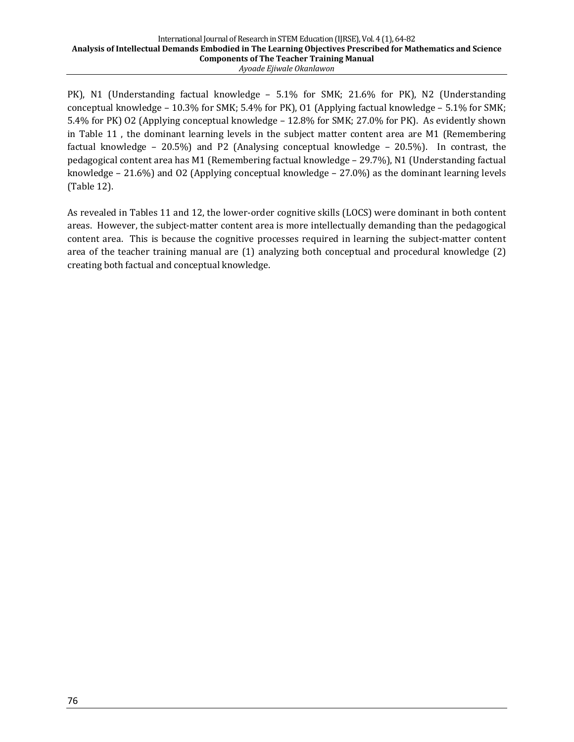#### International Journal of Research in STEM Education (IJRSE), Vol. 4 (1), 64-82 Analysis of Intellectual Demands Embodied in The Learning Objectives Prescribed for Mathematics and Science **Components of The Teacher Training Manual** *Ayoade Ejiwale Okanlawon*

PK), N1 (Understanding factual knowledge – 5.1% for SMK; 21.6% for PK), N2 (Understanding conceptual knowledge - 10.3% for SMK; 5.4% for PK), O1 (Applying factual knowledge - 5.1% for SMK; 5.4% for PK) O2 (Applying conceptual knowledge  $- 12.8$ % for SMK; 27.0% for PK). As evidently shown in Table 11, the dominant learning levels in the subject matter content area are M1 (Remembering factual knowledge – 20.5%) and P2 (Analysing conceptual knowledge – 20.5%). In contrast, the pedagogical content area has M1 (Remembering factual knowledge - 29.7%), N1 (Understanding factual knowledge  $- 21.6\%$ ) and O2 (Applying conceptual knowledge  $- 27.0\%$ ) as the dominant learning levels (Table 12).

As revealed in Tables 11 and 12, the lower-order cognitive skills (LOCS) were dominant in both content areas. However, the subject-matter content area is more intellectually demanding than the pedagogical content area. This is because the cognitive processes required in learning the subject-matter content area of the teacher training manual are  $(1)$  analyzing both conceptual and procedural knowledge  $(2)$ creating both factual and conceptual knowledge.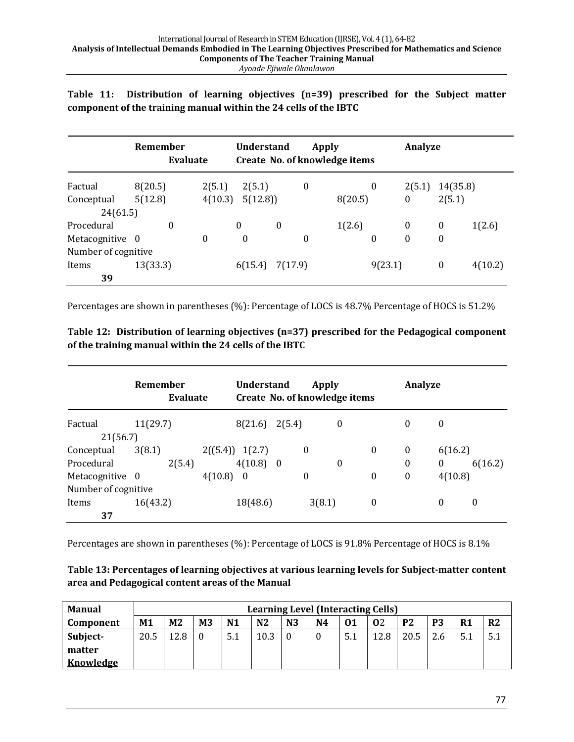Table 11: Distribution of learning objectives (n=39) prescribed for the Subject matter component of the training manual within the 24 cells of the IBTC

|                        | Remember<br>Evaluate |          | <b>Understand</b><br>Create No. of knowledge items |                  | Apply |         |          | Analyze  |                  |         |
|------------------------|----------------------|----------|----------------------------------------------------|------------------|-------|---------|----------|----------|------------------|---------|
| Factual                | 8(20.5)              | 2(5.1)   | 2(5.1)                                             |                  | 0     |         | $\theta$ | 2(5.1)   | 14(35.8)         |         |
| Conceptual<br>24(61.5) | 5(12.8)              | 4(10.3)  | 5(12.8)                                            |                  |       | 8(20.5) |          | $\bf{0}$ | 2(5.1)           |         |
| Procedural             | $\theta$             |          | 0                                                  | $\boldsymbol{0}$ |       | 1(2.6)  |          | $\theta$ | $\bf{0}$         | 1(2.6)  |
| Metacognitive 0        |                      | $\bf{0}$ | $\bf{0}$                                           |                  | 0     |         | $\theta$ | $\theta$ | $\bf{0}$         |         |
| Number of cognitive    |                      |          |                                                    |                  |       |         |          |          |                  |         |
| Items                  | 13(33.3)             |          | 6(15.4)                                            | 7(17.9)          |       |         | 9(23.1)  |          | $\boldsymbol{0}$ | 4(10.2) |
| 39                     |                      |          |                                                    |                  |       |         |          |          |                  |         |

Percentages are shown in parentheses (%): Percentage of LOCS is 48.7% Percentage of HOCS is 51.2%

Table 12: Distribution of learning objectives (n=37) prescribed for the Pedagogical component of the training manual within the 24 cells of the IBTC

|                     | Remember<br><b>Evaluate</b> | <b>Understand</b>   |                          | Apply<br>Create No. of knowledge items | Analyze          |                  |                  |          |
|---------------------|-----------------------------|---------------------|--------------------------|----------------------------------------|------------------|------------------|------------------|----------|
| Factual             | 11(29.7)                    | 8(21.6)             | 2(5.4)                   | $\boldsymbol{0}$                       |                  | $\bf{0}$         | $\boldsymbol{0}$ |          |
| 21(56.7)            |                             |                     |                          |                                        |                  |                  |                  |          |
| Conceptual          | 3(8.1)                      | 2((5.4))<br>1(2.7)  | $\bf{0}$                 |                                        | 0                | $\boldsymbol{0}$ | 6(16.2)          |          |
| Procedural          | 2(5.4)                      | 4(10.8)             | $\overline{\phantom{0}}$ | 0                                      |                  | $\bf{0}$         | $\mathbf{0}$     | 6(16.2)  |
| Metacognitive 0     |                             | 4(10.8)<br>$\bf{0}$ | $\bf{0}$                 |                                        | 0                | $\boldsymbol{0}$ | 4(10.8)          |          |
| Number of cognitive |                             |                     |                          |                                        |                  |                  |                  |          |
| Items               | 16(43.2)                    | 18(48.6)            |                          | 3(8.1)                                 | $\boldsymbol{0}$ |                  | 0                | $\bf{0}$ |
| 37                  |                             |                     |                          |                                        |                  |                  |                  |          |

Percentages are shown in parentheses (%): Percentage of LOCS is 91.8% Percentage of HOCS is 8.1%

| Table 13: Percentages of learning objectives at various learning levels for Subject-matter content |  |
|----------------------------------------------------------------------------------------------------|--|
| area and Pedagogical content areas of the Manual                                                   |  |

| <b>Manual</b>    |      | Learning Level (Interacting Cells) |    |                |                |                |    |     |      |                |     |    |                |
|------------------|------|------------------------------------|----|----------------|----------------|----------------|----|-----|------|----------------|-----|----|----------------|
| Component        | M1   | M <sub>2</sub>                     | M3 | N <sub>1</sub> | N <sub>2</sub> | N <sub>3</sub> | N4 | 01  | 02   | P <sub>2</sub> | P3  | R1 | R <sub>2</sub> |
| Subject-         | 20.5 | 12R                                |    | 5.1            | 10.3           |                |    | 5.1 | 12.8 | 20.5           | 2.6 |    | 5.1            |
| matter           |      |                                    |    |                |                |                |    |     |      |                |     |    |                |
| <b>Knowledge</b> |      |                                    |    |                |                |                |    |     |      |                |     |    |                |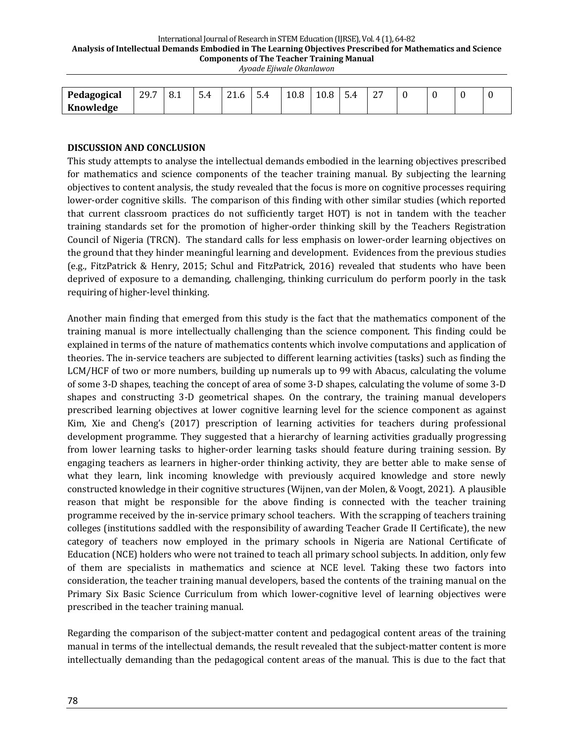#### International Journal of Research in STEM Education (IJRSE), Vol. 4 (1), 64-82 Analysis of Intellectual Demands Embodied in The Learning Objectives Prescribed for Mathematics and Science **Components of The Teacher Training Manual**

| Ayoade Ejiwale Okanlawon |  |
|--------------------------|--|
|--------------------------|--|

| Pedagogical | 29 Z<br><i><u>LJ.I</u></i><br>the contract of the contract of | ∩ 1<br>≻<br>0.1 | $\overline{\phantom{a}}$<br>-<br>4<br>◡╌ | O <sub>4</sub><br>r<br>. | -<br>5.4 | $\Omega$<br>v.o | $\sqrt{2}$ | ≖ | $\sim$<br>ـ ـ |  |  |
|-------------|---------------------------------------------------------------|-----------------|------------------------------------------|--------------------------|----------|-----------------|------------|---|---------------|--|--|
| Knowledge   |                                                               |                 |                                          |                          |          |                 |            |   |               |  |  |

#### **DISCUSSION AND CONCLUSION**

This study attempts to analyse the intellectual demands embodied in the learning objectives prescribed for mathematics and science components of the teacher training manual. By subjecting the learning objectives to content analysis, the study revealed that the focus is more on cognitive processes requiring lower-order cognitive skills. The comparison of this finding with other similar studies (which reported that current classroom practices do not sufficiently target HOT) is not in tandem with the teacher training standards set for the promotion of higher-order thinking skill by the Teachers Registration Council of Nigeria (TRCN). The standard calls for less emphasis on lower-order learning objectives on the ground that they hinder meaningful learning and development. Evidences from the previous studies (e.g., FitzPatrick & Henry, 2015; Schul and FitzPatrick, 2016) revealed that students who have been deprived of exposure to a demanding, challenging, thinking curriculum do perform poorly in the task requiring of higher-level thinking.

Another main finding that emerged from this study is the fact that the mathematics component of the training manual is more intellectually challenging than the science component. This finding could be explained in terms of the nature of mathematics contents which involve computations and application of theories. The in-service teachers are subjected to different learning activities (tasks) such as finding the LCM/HCF of two or more numbers, building up numerals up to 99 with Abacus, calculating the volume of some 3-D shapes, teaching the concept of area of some 3-D shapes, calculating the volume of some 3-D shapes and constructing 3-D geometrical shapes. On the contrary, the training manual developers prescribed learning objectives at lower cognitive learning level for the science component as against Kim, Xie and Cheng's (2017) prescription of learning activities for teachers during professional development programme. They suggested that a hierarchy of learning activities gradually progressing from lower learning tasks to higher-order learning tasks should feature during training session. By engaging teachers as learners in higher-order thinking activity, they are better able to make sense of what they learn, link incoming knowledge with previously acquired knowledge and store newly constructed knowledge in their cognitive structures (Wijnen, van der Molen, & Voogt, 2021). A plausible reason that might be responsible for the above finding is connected with the teacher training programme received by the in-service primary school teachers. With the scrapping of teachers training colleges (institutions saddled with the responsibility of awarding Teacher Grade II Certificate), the new category of teachers now employed in the primary schools in Nigeria are National Certificate of Education (NCE) holders who were not trained to teach all primary school subjects. In addition, only few of them are specialists in mathematics and science at NCE level. Taking these two factors into consideration, the teacher training manual developers, based the contents of the training manual on the Primary Six Basic Science Curriculum from which lower-cognitive level of learning objectives were prescribed in the teacher training manual.

Regarding the comparison of the subject-matter content and pedagogical content areas of the training manual in terms of the intellectual demands, the result revealed that the subject-matter content is more intellectually demanding than the pedagogical content areas of the manual. This is due to the fact that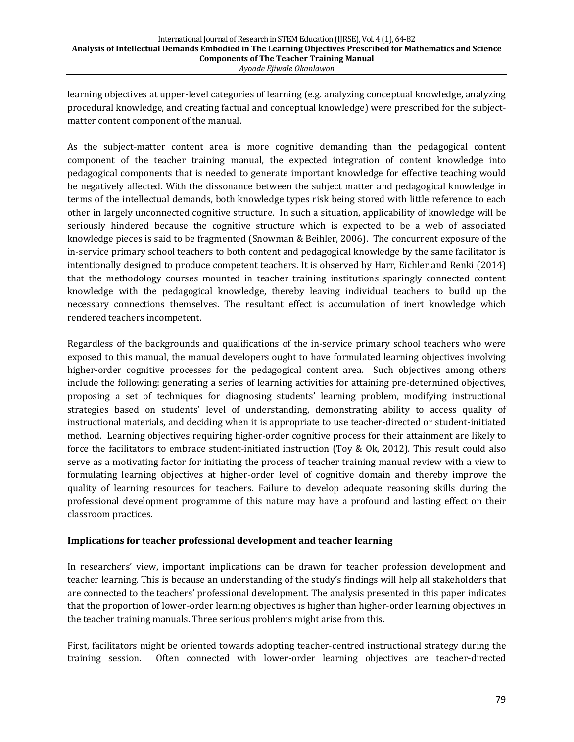learning objectives at upper-level categories of learning (e.g. analyzing conceptual knowledge, analyzing procedural knowledge, and creating factual and conceptual knowledge) were prescribed for the subjectmatter content component of the manual.

As the subject-matter content area is more cognitive demanding than the pedagogical content component of the teacher training manual, the expected integration of content knowledge into pedagogical components that is needed to generate important knowledge for effective teaching would be negatively affected. With the dissonance between the subject matter and pedagogical knowledge in terms of the intellectual demands, both knowledge types risk being stored with little reference to each other in largely unconnected cognitive structure. In such a situation, applicability of knowledge will be seriously hindered because the cognitive structure which is expected to be a web of associated knowledge pieces is said to be fragmented (Snowman & Beihler, 2006). The concurrent exposure of the in-service primary school teachers to both content and pedagogical knowledge by the same facilitator is intentionally designed to produce competent teachers. It is observed by Harr, Eichler and Renki (2014) that the methodology courses mounted in teacher training institutions sparingly connected content knowledge with the pedagogical knowledge, thereby leaving individual teachers to build up the necessary connections themselves. The resultant effect is accumulation of inert knowledge which rendered teachers incompetent.

Regardless of the backgrounds and qualifications of the in-service primary school teachers who were exposed to this manual, the manual developers ought to have formulated learning objectives involving higher-order cognitive processes for the pedagogical content area. Such objectives among others include the following: generating a series of learning activities for attaining pre-determined objectives, proposing a set of techniques for diagnosing students' learning problem, modifying instructional strategies based on students' level of understanding, demonstrating ability to access quality of instructional materials, and deciding when it is appropriate to use teacher-directed or student-initiated method. Learning objectives requiring higher-order cognitive process for their attainment are likely to force the facilitators to embrace student-initiated instruction (Toy & Ok, 2012). This result could also serve as a motivating factor for initiating the process of teacher training manual review with a view to formulating learning objectives at higher-order level of cognitive domain and thereby improve the quality of learning resources for teachers. Failure to develop adequate reasoning skills during the professional development programme of this nature may have a profound and lasting effect on their classroom practices.

### **Implications for teacher professional development and teacher learning**

In researchers' view, important implications can be drawn for teacher profession development and teacher learning. This is because an understanding of the study's findings will help all stakeholders that are connected to the teachers' professional development. The analysis presented in this paper indicates that the proportion of lower-order learning objectives is higher than higher-order learning objectives in the teacher training manuals. Three serious problems might arise from this.

First, facilitators might be oriented towards adopting teacher-centred instructional strategy during the training session. Often connected with lower-order learning objectives are teacher-directed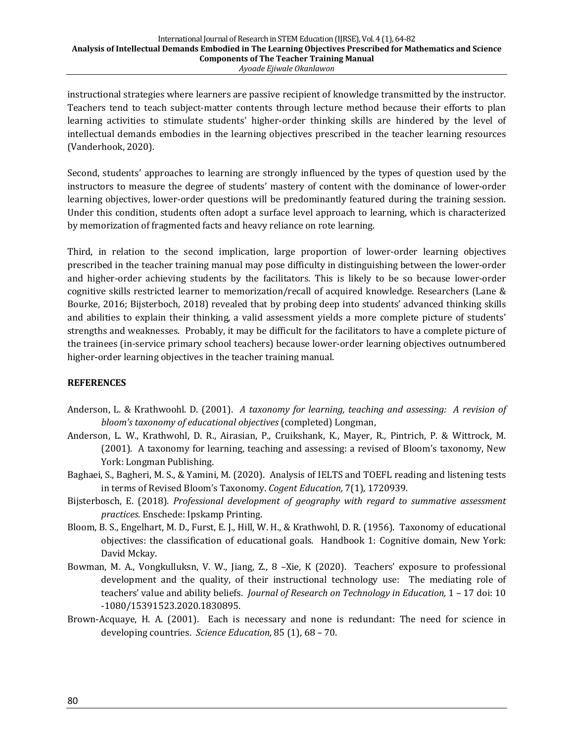instructional strategies where learners are passive recipient of knowledge transmitted by the instructor. Teachers tend to teach subject-matter contents through lecture method because their efforts to plan learning activities to stimulate students' higher-order thinking skills are hindered by the level of intellectual demands embodies in the learning objectives prescribed in the teacher learning resources (Vanderhook, 2020).

Second, students' approaches to learning are strongly influenced by the types of question used by the instructors to measure the degree of students' mastery of content with the dominance of lower-order learning objectives, lower-order questions will be predominantly featured during the training session. Under this condition, students often adopt a surface level approach to learning, which is characterized by memorization of fragmented facts and heavy reliance on rote learning.

Third, in relation to the second implication, large proportion of lower-order learning objectives prescribed in the teacher training manual may pose difficulty in distinguishing between the lower-order and higher-order achieving students by the facilitators. This is likely to be so because lower-order cognitive skills restricted learner to memorization/recall of acquired knowledge. Researchers (Lane & Bourke, 2016; Bijsterboch, 2018) revealed that by probing deep into students' advanced thinking skills and abilities to explain their thinking, a valid assessment yields a more complete picture of students' strengths and weaknesses. Probably, it may be difficult for the facilitators to have a complete picture of the trainees (in-service primary school teachers) because lower-order learning objectives outnumbered higher-order learning objectives in the teacher training manual.

### **REFERENCES**

- Anderson, L. & Krathwoohl. D. (2001). A taxonomy for learning, teaching and assessing: A revision of bloom's taxonomy of educational objectives (completed) Longman,
- Anderson, L. W., Krathwohl, D. R., Airasian, P., Cruikshank, K., Mayer, R., Pintrich, P. & Wittrock, M. (2001). A taxonomy for learning, teaching and assessing: a revised of Bloom's taxonomy, New York: Longman Publishing.
- Baghaei, S., Bagheri, M. S., & Yamini, M. (2020). Analysis of IELTS and TOEFL reading and listening tests in terms of Revised Bloom's Taxonomy. *Cogent Education*, 7(1), 1720939.
- Bijsterbosch, E. (2018). *Professional development of geography with regard to summative assessment practices.* Enschede: Ipskamp Printing.
- Bloom, B. S., Engelhart, M. D., Furst, E. J., Hill, W. H., & Krathwohl, D. R. (1956). Taxonomy of educational objectives: the classification of educational goals. Handbook 1: Cognitive domain, New York: David Mckay.
- Bowman, M. A., Vongkulluksn, V. W., Jiang, Z., 8 -Xie, K (2020). Teachers' exposure to professional development and the quality, of their instructional technology use: The mediating role of teachers' value and ability beliefs. *Journal of Research on Technology in Education*, 1 - 17 doi: 10 -1080/15391523.2020.1830895.
- Brown-Acquaye, H. A. (2001). Each is necessary and none is redundant: The need for science in developing countries. Science Education, 85 (1), 68 - 70.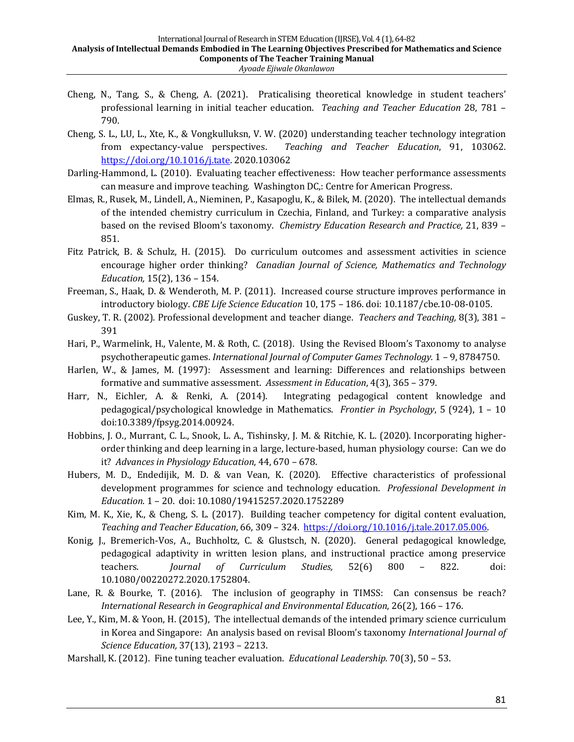- Cheng, N., Tang, S., & Cheng, A. (2021). Praticalising theoretical knowledge in student teachers' professional learning in initial teacher education. *Teaching and Teacher Education* 28, 781 – 790.
- Cheng, S. L., LU, L., Xte, K., & Vongkulluksn, V. W. (2020) understanding teacher technology integration from expectancy-value perspectives. Teaching and Teacher Education, 91, 103062. https://doi.org/10.1016/j.tate. 2020.103062
- Darling-Hammond, L. (2010). Evaluating teacher effectiveness: How teacher performance assessments can measure and improve teaching. Washington DC,: Centre for American Progress.
- Elmas, R., Rusek, M., Lindell, A., Nieminen, P., Kasapoglu, K., & Bilek, M. (2020). The intellectual demands of the intended chemistry curriculum in Czechia, Finland, and Turkey: a comparative analysis based on the revised Bloom's taxonomy. *Chemistry Education Research and Practice*, 21, 839 -851.
- Fitz Patrick, B. & Schulz, H. (2015). Do curriculum outcomes and assessment activities in science encourage higher order thinking? *Canadian Journal of Science, Mathematics and Technology Education*, 15(2), 136 - 154.
- Freeman, S., Haak, D. & Wenderoth, M. P. (2011). Increased course structure improves performance in introductory biology. *CBE Life Science Education* 10, 175 - 186. doi: 10.1187/cbe.10-08-0105.
- Guskey, T. R. (2002). Professional development and teacher diange. *Teachers and Teaching*, 8(3), 381 -391
- Hari, P., Warmelink, H., Valente, M. & Roth, C. (2018). Using the Revised Bloom's Taxonomy to analyse psychotherapeutic games. *International Journal of Computer Games Technology.* 1 - 9, 8784750.
- Harlen, W., & James, M. (1997): Assessment and learning: Differences and relationships between formative and summative assessment. Assessment in Education, 4(3), 365 - 379.
- Harr, N., Eichler, A. & Renki, A. (2014). Integrating pedagogical content knowledge and pedagogical/psychological knowledge in Mathematics. *Frontier in Psychology*, 5 (924), 1 - 10 doi:10.3389/fpsyg.2014.00924.
- Hobbins, J. O., Murrant, C. L., Snook, L. A., Tishinsky, J. M. & Ritchie, K. L. (2020). Incorporating higherorder thinking and deep learning in a large, lecture-based, human physiology course: Can we do it? *Advances in Physiology Education*, 44, 670 – 678.
- Hubers, M. D., Endedijik, M. D. & van Vean, K. (2020). Effective characteristics of professional development programmes for science and technology education. *Professional Development in Education*. 1 – 20. doi: 10.1080/19415257.2020.1752289
- Kim, M. K., Xie, K., & Cheng, S. L.  $(2017)$ . Building teacher competency for digital content evaluation, *Teaching and Teacher Education,* 66, 309 – 324. https://doi.org/10.1016/j.tale.2017.05.006.
- Konig, J., Bremerich-Vos, A., Buchholtz, C. & Glustsch, N. (2020). General pedagogical knowledge, pedagogical adaptivity in written lesion plans, and instructional practice among preservice teachers. *Journal of Curriculum Studies*, 52(6) 800 - 822. doi: 10.1080/00220272.2020.1752804.
- Lane, R. & Bourke, T. (2016). The inclusion of geography in TIMSS: Can consensus be reach? *International Research in Geographical and Environmental Education*, 26(2), 166 - 176.
- Lee, Y., Kim, M. & Yoon, H. (2015), The intellectual demands of the intended primary science curriculum in Korea and Singapore: An analysis based on revisal Bloom's taxonomy International Journal of *Science Education,* 37(13), 2193 - 2213.
- Marshall, K. (2012). Fine tuning teacher evaluation. *Educational Leadership.* 70(3), 50 53.